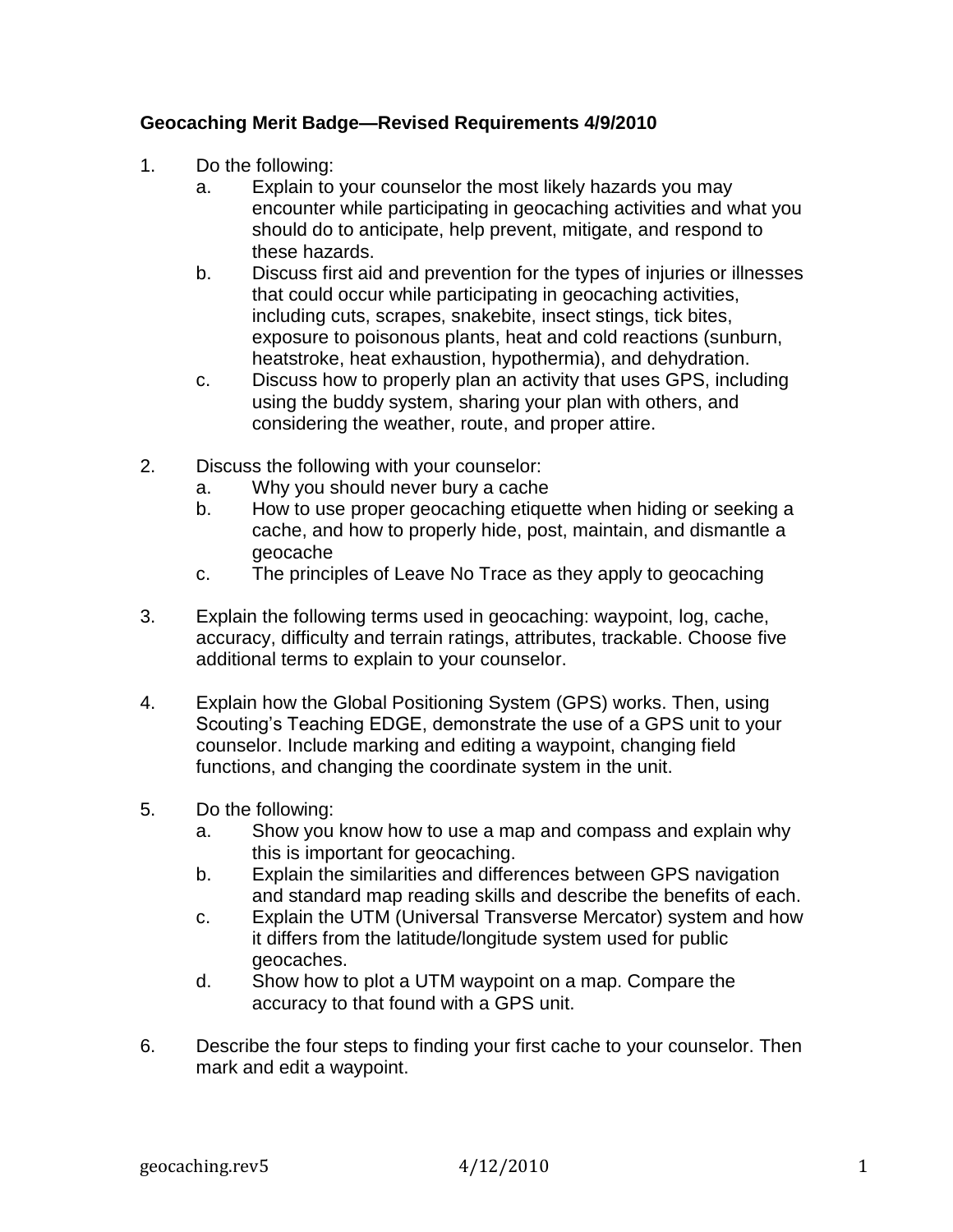## **Geocaching Merit Badge—Revised Requirements 4/9/2010**

- 1. Do the following:
	- a. Explain to your counselor the most likely hazards you may encounter while participating in geocaching activities and what you should do to anticipate, help prevent, mitigate, and respond to these hazards.
	- b. Discuss first aid and prevention for the types of injuries or illnesses that could occur while participating in geocaching activities, including cuts, scrapes, snakebite, insect stings, tick bites, exposure to poisonous plants, heat and cold reactions (sunburn, heatstroke, heat exhaustion, hypothermia), and dehydration.
	- c. Discuss how to properly plan an activity that uses GPS, including using the buddy system, sharing your plan with others, and considering the weather, route, and proper attire.
- 2. Discuss the following with your counselor:
	- a. Why you should never bury a cache
	- b. How to use proper geocaching etiquette when hiding or seeking a cache, and how to properly hide, post, maintain, and dismantle a geocache
	- c. The principles of Leave No Trace as they apply to geocaching
- 3. Explain the following terms used in geocaching: waypoint, log, cache, accuracy, difficulty and terrain ratings, attributes, trackable. Choose five additional terms to explain to your counselor.
- 4. Explain how the Global Positioning System (GPS) works. Then, using Scouting's Teaching EDGE, demonstrate the use of a GPS unit to your counselor. Include marking and editing a waypoint, changing field functions, and changing the coordinate system in the unit.
- 5. Do the following:
	- a. Show you know how to use a map and compass and explain why this is important for geocaching.
	- b. Explain the similarities and differences between GPS navigation and standard map reading skills and describe the benefits of each.
	- c. Explain the UTM (Universal Transverse Mercator) system and how it differs from the latitude/longitude system used for public geocaches.
	- d. Show how to plot a UTM waypoint on a map. Compare the accuracy to that found with a GPS unit.
- 6. Describe the four steps to finding your first cache to your counselor. Then mark and edit a waypoint.